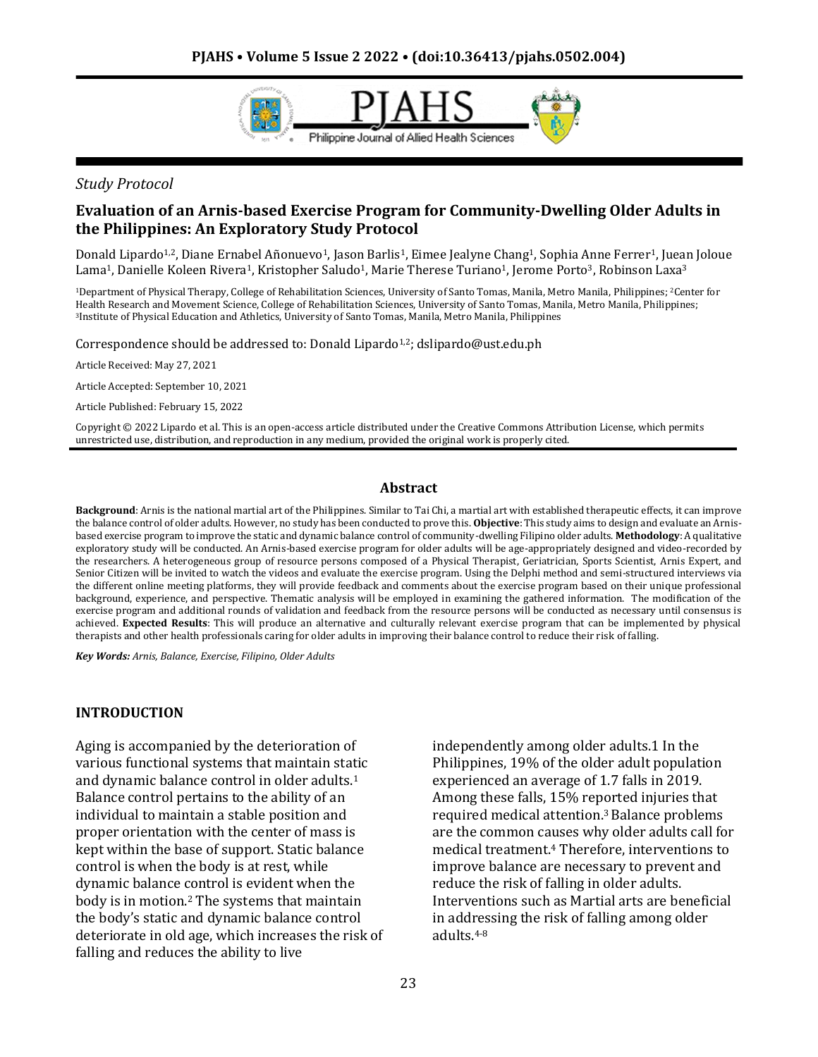

#### *Study Protocol*

## **Evaluation of an Arnis-based Exercise Program for Community-Dwelling Older Adults in the Philippines: An Exploratory Study Protocol**

Donald Lipardo<sup>1,2</sup>, Diane Ernabel Añonuevo<sup>1</sup>, Jason Barlis<sup>1</sup>, Eimee Jealyne Chang<sup>1</sup>, Sophia Anne Ferrer<sup>1</sup>, Juean Joloue Lama<sup>1</sup>, Danielle Koleen Rivera<sup>1</sup>, Kristopher Saludo<sup>1</sup>, Marie Therese Turiano<sup>1</sup>, Jerome Porto<sup>3</sup>, Robinson Laxa<sup>3</sup>

<sup>1</sup>Department of Physical Therapy, College of Rehabilitation Sciences, University of Santo Tomas, Manila, Metro Manila, Philippines; <sup>2</sup>Center for Health Research and Movement Science, College of Rehabilitation Sciences, University of Santo Tomas, Manila, Metro Manila, Philippines; <sup>3</sup>Institute of Physical Education and Athletics, University of Santo Tomas, Manila, Metro Manila, Philippines

Correspondence should be addressed to: Donald Lipardo<sup>1,2</sup>; dslipardo@ust.edu.ph

Article Received: May 27, 2021

Article Accepted: September 10, 2021

Article Published: February 15, 2022

Copyright © 2022 Lipardo et al. This is an open-access article distributed under the Creative Commons Attribution License, which permits unrestricted use, distribution, and reproduction in any medium, provided the original work is properly cited.

#### **Abstract**

**Background**: Arnis is the national martial art of the Philippines. Similar to Tai Chi, a martial art with established therapeutic effects, it can improve the balance control of older adults. However, no study has been conducted to prove this. **Objective**: This study aims to design and evaluate an Arnisbased exercise program to improve the static and dynamic balance control of community-dwelling Filipino older adults. **Methodology**: A qualitative exploratory study will be conducted. An Arnis-based exercise program for older adults will be age-appropriately designed and video-recorded by the researchers. A heterogeneous group of resource persons composed of a Physical Therapist, Geriatrician, Sports Scientist, Arnis Expert, and Senior Citizen will be invited to watch the videos and evaluate the exercise program. Using the Delphi method and semi-structured interviews via the different online meeting platforms, they will provide feedback and comments about the exercise program based on their unique professional background, experience, and perspective. Thematic analysis will be employed in examining the gathered information. The modification of the exercise program and additional rounds of validation and feedback from the resource persons will be conducted as necessary until consensus is achieved. **Expected Results**: This will produce an alternative and culturally relevant exercise program that can be implemented by physical therapists and other health professionals caring for older adults in improving their balance control to reduce their risk of falling.

*Key Words: Arnis, Balance, Exercise, Filipino, Older Adults*

#### **INTRODUCTION**

Aging is accompanied by the deterioration of various functional systems that maintain static and dynamic balance control in older adults.<sup>1</sup> Balance control pertains to the ability of an individual to maintain a stable position and proper orientation with the center of mass is kept within the base of support. Static balance control is when the body is at rest, while dynamic balance control is evident when the body is in motion.<sup>2</sup> The systems that maintain the body's static and dynamic balance control deteriorate in old age, which increases the risk of falling and reduces the ability to live

independently among older adults.1 In the Philippines, 19% of the older adult population experienced an average of 1.7 falls in 2019. Among these falls, 15% reported injuries that required medical attention.3 Balance problems are the common causes why older adults call for medical treatment.<sup>4</sup> Therefore, interventions to improve balance are necessary to prevent and reduce the risk of falling in older adults. Interventions such as Martial arts are beneficial in addressing the risk of falling among older adults.4-8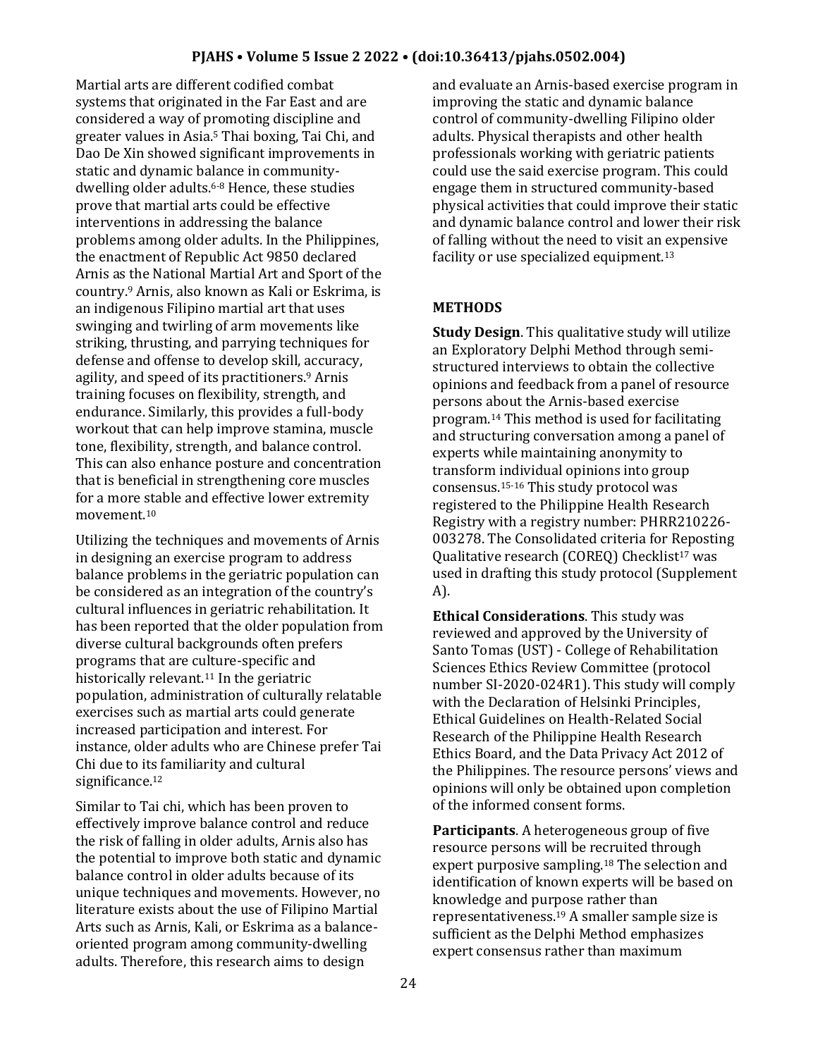Martial arts are different codified combat systems that originated in the Far East and are considered a way of promoting discipline and greater values in Asia.<sup>5</sup> Thai boxing, Tai Chi, and Dao De Xin showed significant improvements in static and dynamic balance in communitydwelling older adults.6-8 Hence, these studies prove that martial arts could be effective interventions in addressing the balance problems among older adults. In the Philippines, the enactment of Republic Act 9850 declared Arnis as the National Martial Art and Sport of the country.<sup>9</sup> Arnis, also known as Kali or Eskrima, is an indigenous Filipino martial art that uses swinging and twirling of arm movements like striking, thrusting, and parrying techniques for defense and offense to develop skill, accuracy, agility, and speed of its practitioners.<sup>9</sup> Arnis training focuses on flexibility, strength, and endurance. Similarly, this provides a full-body workout that can help improve stamina, muscle tone, flexibility, strength, and balance control. This can also enhance posture and concentration that is beneficial in strengthening core muscles for a more stable and effective lower extremity movement.<sup>10</sup>

Utilizing the techniques and movements of Arnis in designing an exercise program to address balance problems in the geriatric population can be considered as an integration of the country's cultural influences in geriatric rehabilitation. It has been reported that the older population from diverse cultural backgrounds often prefers programs that are culture-specific and historically relevant.<sup>11</sup> In the geriatric population, administration of culturally relatable exercises such as martial arts could generate increased participation and interest. For instance, older adults who are Chinese prefer Tai Chi due to its familiarity and cultural significance.<sup>12</sup>

Similar to Tai chi, which has been proven to effectively improve balance control and reduce the risk of falling in older adults, Arnis also has the potential to improve both static and dynamic balance control in older adults because of its unique techniques and movements. However, no literature exists about the use of Filipino Martial Arts such as Arnis, Kali, or Eskrima as a balanceoriented program among community-dwelling adults. Therefore, this research aims to design

and evaluate an Arnis-based exercise program in improving the static and dynamic balance control of community-dwelling Filipino older adults. Physical therapists and other health professionals working with geriatric patients could use the said exercise program. This could engage them in structured community-based physical activities that could improve their static and dynamic balance control and lower their risk of falling without the need to visit an expensive facility or use specialized equipment.<sup>13</sup>

# **METHODS**

**Study Design**. This qualitative study will utilize an Exploratory Delphi Method through semistructured interviews to obtain the collective opinions and feedback from a panel of resource persons about the Arnis-based exercise program.<sup>14</sup> This method is used for facilitating and structuring conversation among a panel of experts while maintaining anonymity to transform individual opinions into group consensus.15-16 This study protocol was registered to the Philippine Health Research Registry with a registry number: PHRR210226- 003278. The Consolidated criteria for Reposting Qualitative research (COREQ) Checklist<sup>17</sup> was used in drafting this study protocol (Supplement A).

**Ethical Considerations**. This study was reviewed and approved by the University of Santo Tomas (UST) - College of Rehabilitation Sciences Ethics Review Committee (protocol number SI-2020-024R1). This study will comply with the Declaration of Helsinki Principles, Ethical Guidelines on Health-Related Social Research of the Philippine Health Research Ethics Board, and the Data Privacy Act 2012 of the Philippines. The resource persons' views and opinions will only be obtained upon completion of the informed consent forms.

**Participants**. A heterogeneous group of five resource persons will be recruited through expert purposive sampling.<sup>18</sup> The selection and identification of known experts will be based on knowledge and purpose rather than representativeness.<sup>19</sup> A smaller sample size is sufficient as the Delphi Method emphasizes expert consensus rather than maximum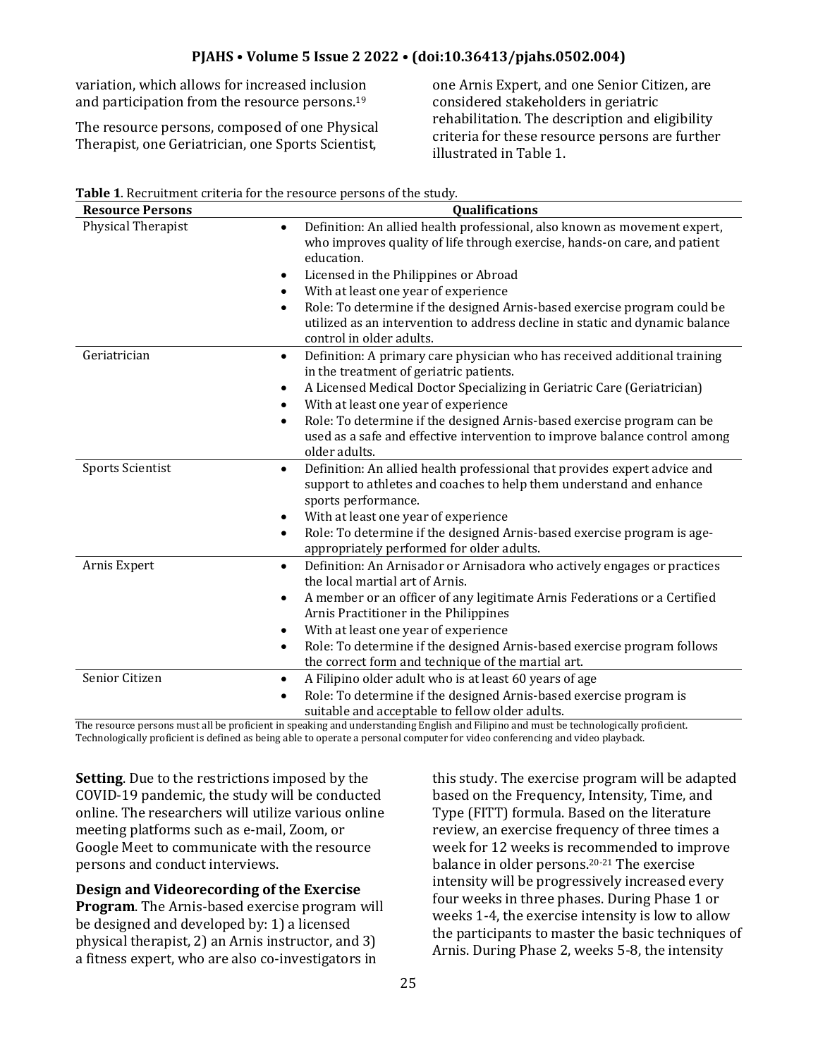variation, which allows for increased inclusion and participation from the resource persons.<sup>19</sup>

The resource persons, composed of one Physical Therapist, one Geriatrician, one Sports Scientist,

one Arnis Expert, and one Senior Citizen, are considered stakeholders in geriatric rehabilitation. The description and eligibility criteria for these resource persons are further illustrated in Table 1.

| <b>Resource Persons</b> | Qualifications                                                                                                                                                                                                                                                                                                                                                                                                                                                        |
|-------------------------|-----------------------------------------------------------------------------------------------------------------------------------------------------------------------------------------------------------------------------------------------------------------------------------------------------------------------------------------------------------------------------------------------------------------------------------------------------------------------|
| Physical Therapist      | Definition: An allied health professional, also known as movement expert,<br>$\bullet$<br>who improves quality of life through exercise, hands-on care, and patient<br>education.<br>Licensed in the Philippines or Abroad<br>$\bullet$<br>With at least one year of experience<br>$\bullet$<br>Role: To determine if the designed Arnis-based exercise program could be<br>$\bullet$<br>utilized as an intervention to address decline in static and dynamic balance |
| Geriatrician            | control in older adults.                                                                                                                                                                                                                                                                                                                                                                                                                                              |
|                         | Definition: A primary care physician who has received additional training<br>$\bullet$<br>in the treatment of geriatric patients.                                                                                                                                                                                                                                                                                                                                     |
|                         | A Licensed Medical Doctor Specializing in Geriatric Care (Geriatrician)<br>٠                                                                                                                                                                                                                                                                                                                                                                                          |
|                         | With at least one year of experience<br>$\bullet$                                                                                                                                                                                                                                                                                                                                                                                                                     |
|                         | Role: To determine if the designed Arnis-based exercise program can be<br>$\bullet$<br>used as a safe and effective intervention to improve balance control among<br>older adults.                                                                                                                                                                                                                                                                                    |
| <b>Sports Scientist</b> | Definition: An allied health professional that provides expert advice and<br>$\bullet$<br>support to athletes and coaches to help them understand and enhance<br>sports performance.<br>With at least one year of experience<br>$\bullet$                                                                                                                                                                                                                             |
|                         | Role: To determine if the designed Arnis-based exercise program is age-<br>$\bullet$                                                                                                                                                                                                                                                                                                                                                                                  |
|                         | appropriately performed for older adults.                                                                                                                                                                                                                                                                                                                                                                                                                             |
| Arnis Expert            | Definition: An Arnisador or Arnisadora who actively engages or practices<br>$\bullet$<br>the local martial art of Arnis.                                                                                                                                                                                                                                                                                                                                              |
|                         | A member or an officer of any legitimate Arnis Federations or a Certified<br>$\bullet$<br>Arnis Practitioner in the Philippines                                                                                                                                                                                                                                                                                                                                       |
|                         | With at least one year of experience<br>٠                                                                                                                                                                                                                                                                                                                                                                                                                             |
|                         | Role: To determine if the designed Arnis-based exercise program follows<br>$\bullet$<br>the correct form and technique of the martial art.                                                                                                                                                                                                                                                                                                                            |
| Senior Citizen          | A Filipino older adult who is at least 60 years of age<br>٠                                                                                                                                                                                                                                                                                                                                                                                                           |
|                         | Role: To determine if the designed Arnis-based exercise program is<br>$\bullet$<br>suitable and acceptable to fellow older adults.                                                                                                                                                                                                                                                                                                                                    |

**Table 1**. Recruitment criteria for the resource persons of the study.

The resource persons must all be proficient in speaking and understanding English and Filipino and must be technologically proficient. Technologically proficient is defined as being able to operate a personal computer for video conferencing and video playback.

**Setting**. Due to the restrictions imposed by the COVID-19 pandemic, the study will be conducted online. The researchers will utilize various online meeting platforms such as e-mail, Zoom, or Google Meet to communicate with the resource persons and conduct interviews.

### **Design and Videorecording of the Exercise**

**Program**. The Arnis-based exercise program will be designed and developed by: 1) a licensed physical therapist, 2) an Arnis instructor, and 3) a fitness expert, who are also co-investigators in

this study. The exercise program will be adapted based on the Frequency, Intensity, Time, and Type (FITT) formula. Based on the literature review, an exercise frequency of three times a week for 12 weeks is recommended to improve balance in older persons.20-21 The exercise intensity will be progressively increased every four weeks in three phases. During Phase 1 or weeks 1-4, the exercise intensity is low to allow the participants to master the basic techniques of Arnis. During Phase 2, weeks 5-8, the intensity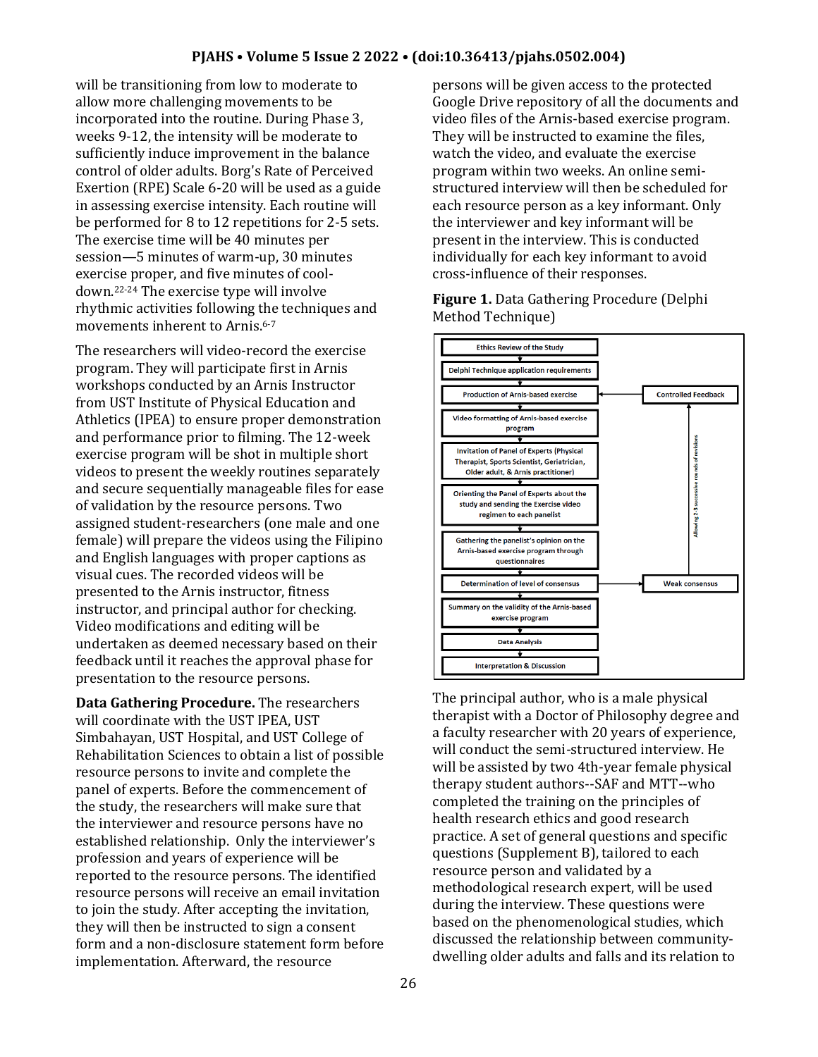will be transitioning from low to moderate to allow more challenging movements to be incorporated into the routine. During Phase 3, weeks 9-12, the intensity will be moderate to sufficiently induce improvement in the balance control of older adults. Borg's Rate of Perceived Exertion (RPE) Scale 6-20 will be used as a guide in assessing exercise intensity. Each routine will be performed for 8 to 12 repetitions for 2-5 sets. The exercise time will be 40 minutes per session—5 minutes of warm-up, 30 minutes exercise proper, and five minutes of cooldown.22-24 The exercise type will involve rhythmic activities following the techniques and movements inherent to Arnis.6-7

The researchers will video-record the exercise program. They will participate first in Arnis workshops conducted by an Arnis Instructor from UST Institute of Physical Education and Athletics (IPEA) to ensure proper demonstration and performance prior to filming. The 12-week exercise program will be shot in multiple short videos to present the weekly routines separately and secure sequentially manageable files for ease of validation by the resource persons. Two assigned student-researchers (one male and one female) will prepare the videos using the Filipino and English languages with proper captions as visual cues. The recorded videos will be presented to the Arnis instructor, fitness instructor, and principal author for checking. Video modifications and editing will be undertaken as deemed necessary based on their feedback until it reaches the approval phase for presentation to the resource persons.

**Data Gathering Procedure.** The researchers will coordinate with the UST IPEA, UST Simbahayan, UST Hospital, and UST College of Rehabilitation Sciences to obtain a list of possible resource persons to invite and complete the panel of experts. Before the commencement of the study, the researchers will make sure that the interviewer and resource persons have no established relationship. Only the interviewer's profession and years of experience will be reported to the resource persons. The identified resource persons will receive an email invitation to join the study. After accepting the invitation, they will then be instructed to sign a consent form and a non-disclosure statement form before implementation. Afterward, the resource

persons will be given access to the protected Google Drive repository of all the documents and video files of the Arnis-based exercise program. They will be instructed to examine the files, watch the video, and evaluate the exercise program within two weeks. An online semistructured interview will then be scheduled for each resource person as a key informant. Only the interviewer and key informant will be present in the interview. This is conducted individually for each key informant to avoid cross-influence of their responses.

**Figure 1.** Data Gathering Procedure (Delphi Method Technique)



The principal author, who is a male physical therapist with a Doctor of Philosophy degree and a faculty researcher with 20 years of experience, will conduct the semi-structured interview. He will be assisted by two 4th-year female physical therapy student authors--SAF and MTT--who completed the training on the principles of health research ethics and good research practice. A set of general questions and specific questions (Supplement B), tailored to each resource person and validated by a methodological research expert, will be used during the interview. These questions were based on the phenomenological studies, which discussed the relationship between communitydwelling older adults and falls and its relation to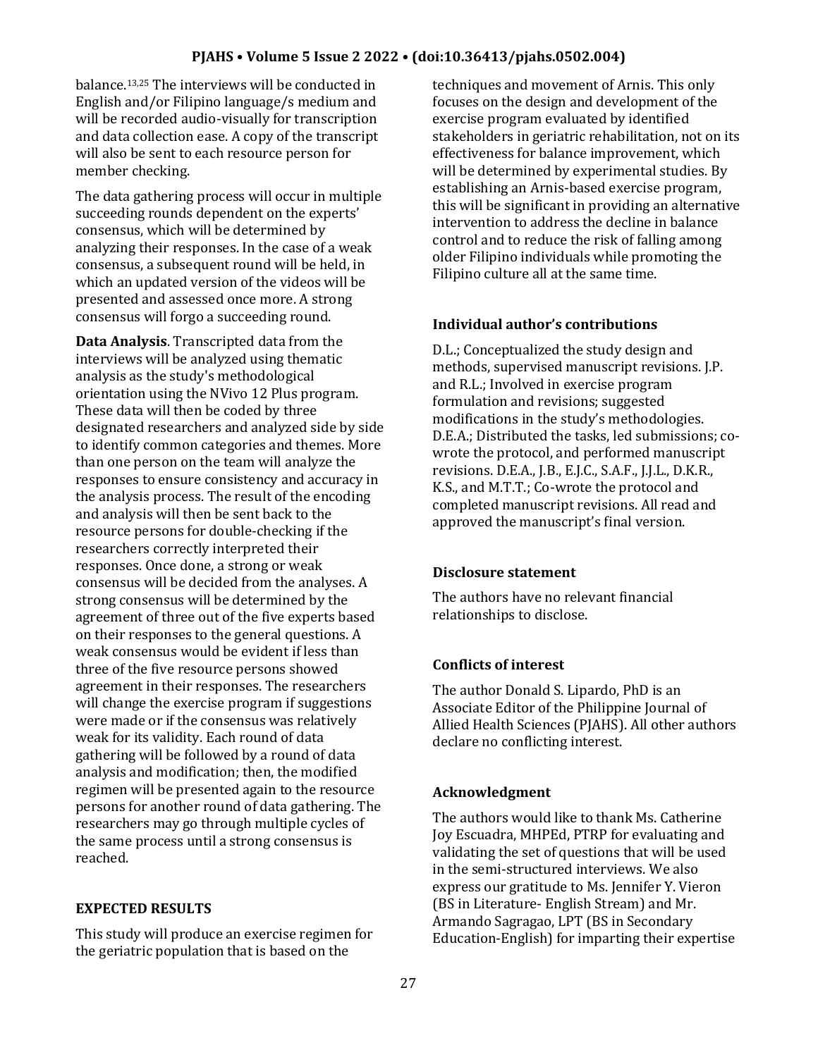#### **PJAHS • Volume 5 Issue 2 2022 • (doi:10.36413/pjahs.0502.004)**

balance.13,25 The interviews will be conducted in English and/or Filipino language/s medium and will be recorded audio-visually for transcription and data collection ease. A copy of the transcript will also be sent to each resource person for member checking.

The data gathering process will occur in multiple succeeding rounds dependent on the experts' consensus, which will be determined by analyzing their responses. In the case of a weak consensus, a subsequent round will be held, in which an updated version of the videos will be presented and assessed once more. A strong consensus will forgo a succeeding round.

**Data Analysis**. Transcripted data from the interviews will be analyzed using thematic analysis as the study's methodological orientation using the NVivo 12 Plus program. These data will then be coded by three designated researchers and analyzed side by side to identify common categories and themes. More than one person on the team will analyze the responses to ensure consistency and accuracy in the analysis process. The result of the encoding and analysis will then be sent back to the resource persons for double-checking if the researchers correctly interpreted their responses. Once done, a strong or weak consensus will be decided from the analyses. A strong consensus will be determined by the agreement of three out of the five experts based on their responses to the general questions. A weak consensus would be evident if less than three of the five resource persons showed agreement in their responses. The researchers will change the exercise program if suggestions were made or if the consensus was relatively weak for its validity. Each round of data gathering will be followed by a round of data analysis and modification; then, the modified regimen will be presented again to the resource persons for another round of data gathering. The researchers may go through multiple cycles of the same process until a strong consensus is reached.

#### **EXPECTED RESULTS**

This study will produce an exercise regimen for the geriatric population that is based on the

techniques and movement of Arnis. This only focuses on the design and development of the exercise program evaluated by identified stakeholders in geriatric rehabilitation, not on its effectiveness for balance improvement, which will be determined by experimental studies. By establishing an Arnis-based exercise program, this will be significant in providing an alternative intervention to address the decline in balance control and to reduce the risk of falling among older Filipino individuals while promoting the Filipino culture all at the same time.

#### **Individual author's contributions**

D.L.; Conceptualized the study design and methods, supervised manuscript revisions. J.P. and R.L.; Involved in exercise program formulation and revisions; suggested modifications in the study's methodologies. D.E.A.; Distributed the tasks, led submissions; cowrote the protocol, and performed manuscript revisions. D.E.A., J.B., E.J.C., S.A.F., J.J.L., D.K.R., K.S., and M.T.T.; Co-wrote the protocol and completed manuscript revisions. All read and approved the manuscript's final version.

#### **Disclosure statement**

The authors have no relevant financial relationships to disclose.

#### **Conflicts of interest**

The author Donald S. Lipardo, PhD is an Associate Editor of the Philippine Journal of Allied Health Sciences (PJAHS). All other authors declare no conflicting interest.

#### **Acknowledgment**

The authors would like to thank Ms. Catherine Joy Escuadra, MHPEd, PTRP for evaluating and validating the set of questions that will be used in the semi-structured interviews. We also express our gratitude to Ms. Jennifer Y. Vieron (BS in Literature- English Stream) and Mr. Armando Sagragao, LPT (BS in Secondary Education-English) for imparting their expertise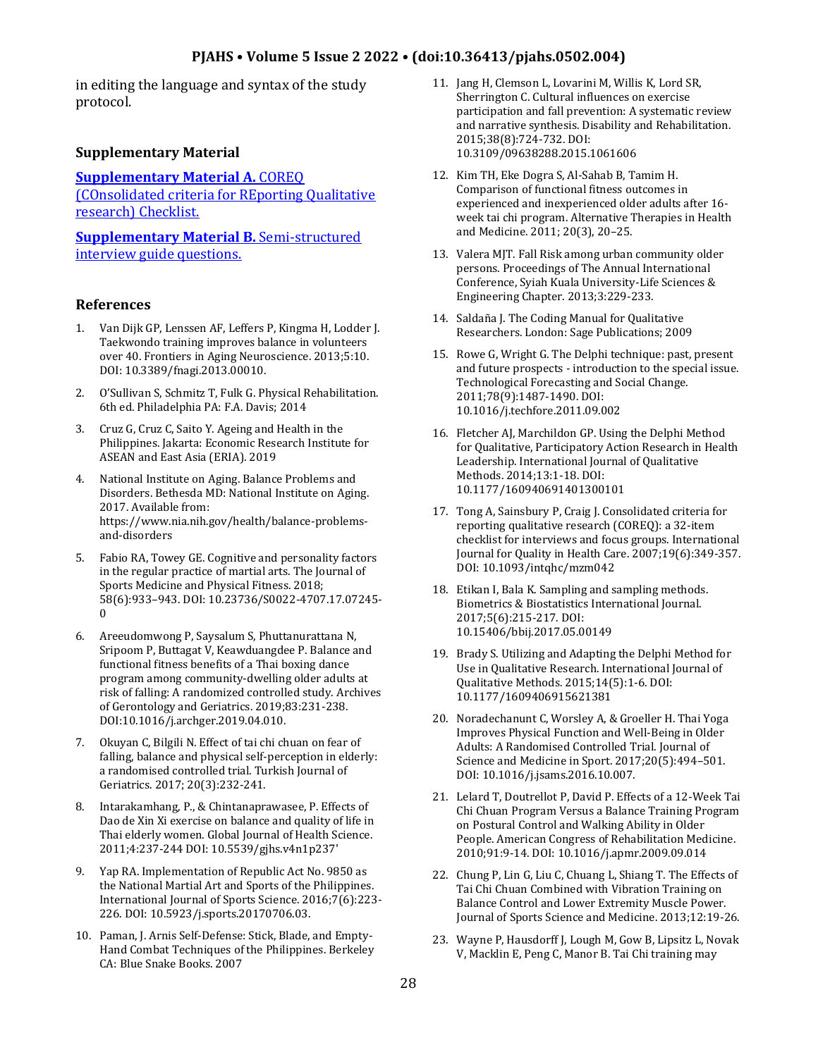#### **PJAHS • Volume 5 Issue 2 2022 • (doi:10.36413/pjahs.0502.004)**

in editing the language and syntax of the study protocol.

#### **Supplementary Material**

#### **[Supplementary Material A.](https://drive.google.com/file/d/1q_Vrpq6d-bgFOJTPTFnRWq6xm6CErfiv/view?usp=sharing)** COREQ

[\(COnsolidated criteria for REporting Qualitative](https://drive.google.com/file/d/1q_Vrpq6d-bgFOJTPTFnRWq6xm6CErfiv/view?usp=sharing)  [research\) Checklist.](https://drive.google.com/file/d/1q_Vrpq6d-bgFOJTPTFnRWq6xm6CErfiv/view?usp=sharing)

**[Supplementary Material B.](https://drive.google.com/file/d/17YA2j-EYxPBSFpUCTqzX18tt8NCGr-NK/view?usp=sharing)** Semi-structured [interview guide questions.](https://drive.google.com/file/d/17YA2j-EYxPBSFpUCTqzX18tt8NCGr-NK/view?usp=sharing)

#### **References**

- 1. Van Dijk GP, Lenssen AF, Leffers P, Kingma H, Lodder J. Taekwondo training improves balance in volunteers over 40. Frontiers in Aging Neuroscience. 2013;5:10. DOI: 10.3389/fnagi.2013.00010.
- 2. O'Sullivan S, Schmitz T, Fulk G. Physical Rehabilitation. 6th ed. Philadelphia PA: F.A. Davis; 2014
- 3. Cruz G, Cruz C, Saito Y. Ageing and Health in the Philippines. Jakarta: Economic Research Institute for ASEAN and East Asia (ERIA). 2019
- 4. National Institute on Aging. Balance Problems and Disorders. Bethesda MD: National Institute on Aging. 2017. Available from: https://www.nia.nih.gov/health/balance-problemsand-disorders
- 5. Fabio RA, Towey GE. Cognitive and personality factors in the regular practice of martial arts. The Journal of Sports Medicine and Physical Fitness. 2018; 58(6):933–943. DOI: 10.23736/S0022-4707.17.07245-  $\Omega$
- 6. Areeudomwong P, Saysalum S, Phuttanurattana N, Sripoom P, Buttagat V, Keawduangdee P. Balance and functional fitness benefits of a Thai boxing dance program among community-dwelling older adults at risk of falling: A randomized controlled study. Archives of Gerontology and Geriatrics. 2019;83:231-238. DOI:10.1016/j.archger.2019.04.010.
- 7. Okuyan C, Bilgili N. Effect of tai chi chuan on fear of falling, balance and physical self-perception in elderly: a randomised controlled trial. Turkish Journal of Geriatrics. 2017; 20(3):232-241.
- 8. Intarakamhang, P., & Chintanaprawasee, P. Effects of Dao de Xin Xi exercise on balance and quality of life in Thai elderly women. Global Journal of Health Science. 2011;4:237-244 DOI: 10.5539/gjhs.v4n1p237'
- 9. Yap RA. Implementation of Republic Act No. 9850 as the National Martial Art and Sports of the Philippines. International Journal of Sports Science. 2016;7(6):223- 226. DOI: 10.5923/j.sports.20170706.03.
- 10. Paman, J. Arnis Self-Defense: Stick, Blade, and Empty-Hand Combat Techniques of the Philippines. Berkeley CA: Blue Snake Books. 2007
- 11. Jang H, Clemson L, Lovarini M, Willis K, Lord SR, Sherrington C. Cultural influences on exercise participation and fall prevention: A systematic review and narrative synthesis. Disability and Rehabilitation. 2015;38(8):724-732. DOI: 10.3109/09638288.2015.1061606
- 12. Kim TH, Eke Dogra S, Al-Sahab B, Tamim H. Comparison of functional fitness outcomes in experienced and inexperienced older adults after 16 week tai chi program. Alternative Therapies in Health and Medicine. 2011; 20(3), 20–25.
- 13. Valera MJT. Fall Risk among urban community older persons. Proceedings of The Annual International Conference, Syiah Kuala University-Life Sciences & Engineering Chapter. 2013;3:229-233.
- 14. Saldaña J. The Coding Manual for Qualitative Researchers. London: Sage Publications; 2009
- 15. Rowe G, Wright G. The Delphi technique: past, present and future prospects - introduction to the special issue. Technological Forecasting and Social Change. 2011;78(9):1487-1490. DOI: 10.1016/j.techfore.2011.09.002
- 16. Fletcher AJ, Marchildon GP. Using the Delphi Method for Qualitative, Participatory Action Research in Health Leadership. International Journal of Qualitative Methods. 2014;13:1-18. DOI: 10.1177/160940691401300101
- 17. Tong A, Sainsbury P, Craig J. Consolidated criteria for reporting qualitative research (COREQ): a 32-item checklist for interviews and focus groups. International Journal for Quality in Health Care. 2007;19(6):349-357. DOI: 10.1093/intqhc/mzm042
- 18. Etikan I, Bala K. Sampling and sampling methods. Biometrics & Biostatistics International Journal. 2017;5(6):215-217. DOI: 10.15406/bbij.2017.05.00149
- 19. Brady S. Utilizing and Adapting the Delphi Method for Use in Qualitative Research. International Journal of Qualitative Methods. 2015;14(5):1-6. DOI: 10.1177/1609406915621381
- 20. Noradechanunt C, Worsley A, & Groeller H. Thai Yoga Improves Physical Function and Well-Being in Older Adults: A Randomised Controlled Trial. Journal of Science and Medicine in Sport. 2017;20(5):494–501. DOI: 10.1016/j.jsams.2016.10.007.
- 21. Lelard T, Doutrellot P, David P. Effects of a 12-Week Tai Chi Chuan Program Versus a Balance Training Program on Postural Control and Walking Ability in Older People. American Congress of Rehabilitation Medicine. 2010;91:9-14. DOI: 10.1016/j.apmr.2009.09.014
- 22. Chung P, Lin G, Liu C, Chuang L, Shiang T. The Effects of Tai Chi Chuan Combined with Vibration Training on Balance Control and Lower Extremity Muscle Power. Journal of Sports Science and Medicine. 2013;12:19-26.
- 23. Wayne P, Hausdorff J, Lough M, Gow B, Lipsitz L, Novak V, Macklin E, Peng C, Manor B. Tai Chi training may